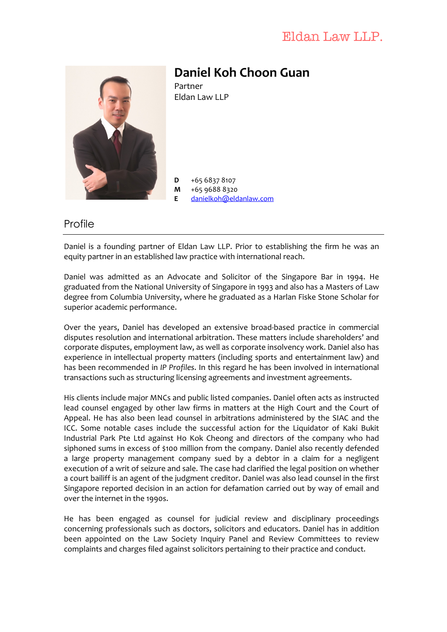# Eldan Law LLP.



# **Daniel Koh Choon Guan**

Partner Eldan Law LLP

 $D + 6568378107$ 

- **M** +65 9688 8320
- **E** danielkoh@eldanlaw.com

## **Profile**

Daniel is a founding partner of Eldan Law LLP. Prior to establishing the firm he was an equity partner in an established law practice with international reach.

Daniel was admitted as an Advocate and Solicitor of the Singapore Bar in 1994. He graduated from the National University of Singapore in 1993 and also has a Masters of Law degree from Columbia University, where he graduated as a Harlan Fiske Stone Scholar for superior academic performance.

Over the years, Daniel has developed an extensive broad-based practice in commercial disputes resolution and international arbitration. These matters include shareholders' and corporate disputes, employment law, as well as corporate insolvency work. Daniel also has experience in intellectual property matters (including sports and entertainment law) and has been recommended in *IP Profiles*. In this regard he has been involved in international transactions such as structuring licensing agreements and investment agreements.

His clients include major MNCs and public listed companies. Daniel often acts as instructed lead counsel engaged by other law firms in matters at the High Court and the Court of Appeal. He has also been lead counsel in arbitrations administered by the SIAC and the ICC. Some notable cases include the successful action for the Liquidator of Kaki Bukit Industrial Park Pte Ltd against Ho Kok Cheong and directors of the company who had siphoned sums in excess of \$100 million from the company. Daniel also recently defended a large property management company sued by a debtor in a claim for a negligent execution of a writ of seizure and sale. The case had clarified the legal position on whether a court bailiff is an agent of the judgment creditor. Daniel was also lead counsel in the first Singapore reported decision in an action for defamation carried out by way of email and over the internet in the 1990s.

He has been engaged as counsel for judicial review and disciplinary proceedings concerning professionals such as doctors, solicitors and educators. Daniel has in addition been appointed on the Law Society Inquiry Panel and Review Committees to review complaints and charges filed against solicitors pertaining to their practice and conduct.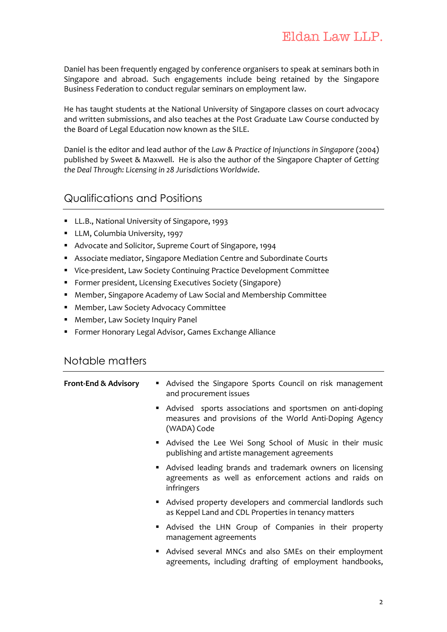Daniel has been frequently engaged by conference organisers to speak at seminars both in Singapore and abroad. Such engagements include being retained by the Singapore Business Federation to conduct regular seminars on employment law.

He has taught students at the National University of Singapore classes on court advocacy and written submissions, and also teaches at the Post Graduate Law Course conducted by the Board of Legal Education now known as the SILE.

Daniel is the editor and lead author of the *Law & Practice of Injunctions in Singapore* (2004) published by Sweet & Maxwell. He is also the author of the Singapore Chapter of Getting the Deal Through: Licensing in 28 Jurisdictions Worldwide.

### Qualifications and Positions

- **LL.B., National University of Singapore, 1993**
- **LLM, Columbia University, 1997**
- Advocate and Solicitor, Supreme Court of Singapore, 1994
- **Associate mediator, Singapore Mediation Centre and Subordinate Courts**
- Vice-president, Law Society Continuing Practice Development Committee
- Former president, Licensing Executives Society (Singapore)
- Member, Singapore Academy of Law Social and Membership Committee
- **Member, Law Society Advocacy Committee**
- **Member, Law Society Inquiry Panel**
- **Former Honorary Legal Advisor, Games Exchange Alliance**

### Notable matters

| <b>Front-End &amp; Advisory</b> | • Advised the Singapore Sports Council on risk management<br>and procurement issues                                                |
|---------------------------------|------------------------------------------------------------------------------------------------------------------------------------|
|                                 | Advised sports associations and sportsmen on anti-doping<br>measures and provisions of the World Anti-Doping Agency<br>(WADA) Code |
|                                 | Advised the Lee Wei Song School of Music in their music<br>publishing and artiste management agreements                            |
|                                 | Advised leading brands and trademark owners on licensing<br>agreements as well as enforcement actions and raids on<br>infringers   |
|                                 | Advised property developers and commercial landlords such<br>as Keppel Land and CDL Properties in tenancy matters                  |
|                                 | Advised the LHN Group of Companies in their property<br>management agreements                                                      |
|                                 | • Advised several MNCs and also SMEs on their employment<br>agreements, including drafting of employment handbooks,                |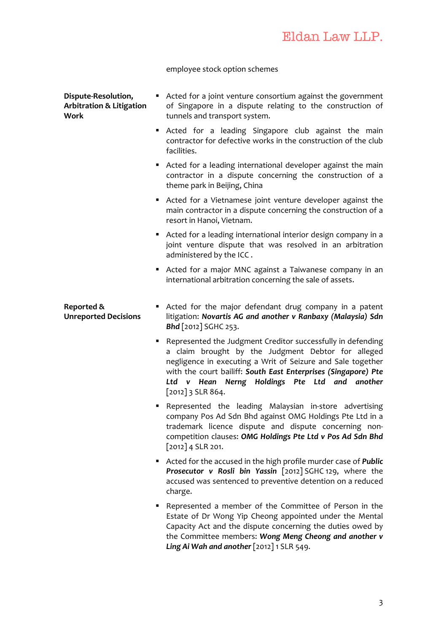#### employee stock option schemes

### **Dispute-Resolution, Arbitration & Litigation Work**

- Acted for a joint venture consortium against the government of Singapore in a dispute relating to the construction of tunnels and transport system.
	- **E** Acted for a leading Singapore club against the main contractor for defective works in the construction of the club facilities.
	- Acted for a leading international developer against the main contractor in a dispute concerning the construction of a theme park in Beijing, China
	- Acted for a Vietnamese joint venture developer against the main contractor in a dispute concerning the construction of a resort in Hanoi, Vietnam.
	- Acted for a leading international interior design company in a joint venture dispute that was resolved in an arbitration administered by the ICC.
	- Acted for a major MNC against a Taiwanese company in an international arbitration concerning the sale of assets.

#### **Reported & Unreported Decisions**

- Acted for the major defendant drug company in a patent litigation: *Novartis AG and another v Ranbaxy (Malaysia)* Sdn **Bhd** [2012] SGHC 253.
	- Represented the Judgment Creditor successfully in defending a claim brought by the Judgment Debtor for alleged negligence in executing a Writ of Seizure and Sale together with the court bailiff: South East Enterprises (Singapore) Pte *Ltd v Hean Nerng Holdings Pte Ltd and another* [2012] 3 SLR 864.
	- **Represented the leading Malaysian in-store advertising** company Pos Ad Sdn Bhd against OMG Holdings Pte Ltd in a trademark licence dispute and dispute concerning noncompetition clauses: OMG Holdings Pte Ltd v Pos Ad Sdn Bhd [2012] 4 SLR 201.
	- Acted for the accused in the high profile murder case of *Public* **Prosecutor** v Rosli bin Yassin [2012] SGHC 129, where the accused was sentenced to preventive detention on a reduced charge.
	- Represented a member of the Committee of Person in the Estate of Dr Wong Yip Cheong appointed under the Mental Capacity Act and the dispute concerning the duties owed by the Committee members: **Wong Meng Cheong and another v** Ling Ai Wah and another [2012] 1 SLR 549.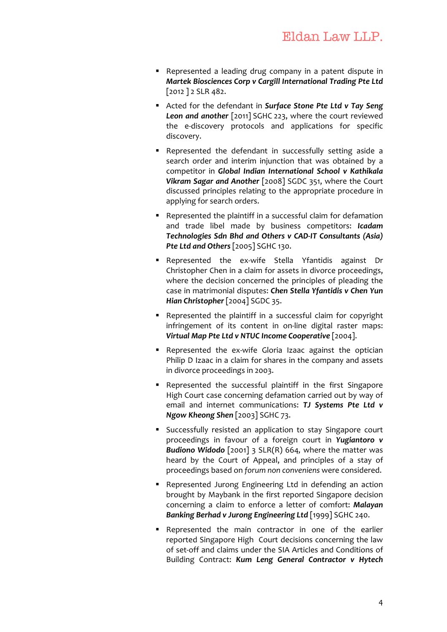- Represented a leading drug company in a patent dispute in *Martek Biosciences Corp v Cargill International Trading Pte Ltd* [2012] 2 SLR 482.
- Acted for the defendant in **Surface Stone Pte Ltd v Tay Seng** Leon and another [2011] SGHC 223, where the court reviewed the e-discovery protocols and applications for specific discovery.
- Represented the defendant in successfully setting aside a search order and interim injunction that was obtained by a competitor in *Global Indian International School v Kathikala* **Vikram Sagar and Another** [2008] SGDC 351, where the Court discussed principles relating to the appropriate procedure in applying for search orders.
- Represented the plaintiff in a successful claim for defamation and trade libel made by business competitors: *Icadam* **Technologies Sdn Bhd and Others v CAD-IT Consultants (Asia) Pte Ltd and Others** [2005] SGHC 130.
- Represented the ex-wife Stella Yfantidis against Dr Christopher Chen in a claim for assets in divorce proceedings, where the decision concerned the principles of pleading the case in matrimonial disputes: *Chen Stella Yfantidis v Chen Yun Hian* Christopher [2004] SGDC 35.
- Represented the plaintiff in a successful claim for copyright infringement of its content in on-line digital raster maps: Virtual Map Pte Ltd v NTUC Income Cooperative [2004].
- Represented the ex-wife Gloria Izaac against the optician Philip D Izaac in a claim for shares in the company and assets in divorce proceedings in 2003.
- Represented the successful plaintiff in the first Singapore High Court case concerning defamation carried out by way of email and internet communications: TJ Systems Pte Ltd v *Ngow Kheong Shen* [2003] SGHC 73.
- **Successfully resisted an application to stay Singapore court** proceedings in favour of a foreign court in **Yugiantoro v Budiono Widodo** [2001] 3 SLR(R) 664, where the matter was heard by the Court of Appeal, and principles of a stay of proceedings based on forum non conveniens were considered.
- **-** Represented Jurong Engineering Ltd in defending an action brought by Maybank in the first reported Singapore decision concerning a claim to enforce a letter of comfort: Malayan **Banking Berhad v Jurong Engineering Ltd** [1999] SGHC 240.
- Represented the main contractor in one of the earlier reported Singapore High Court decisions concerning the law of set-off and claims under the SIA Articles and Conditions of Building Contract: **Kum Leng General Contractor v Hytech**